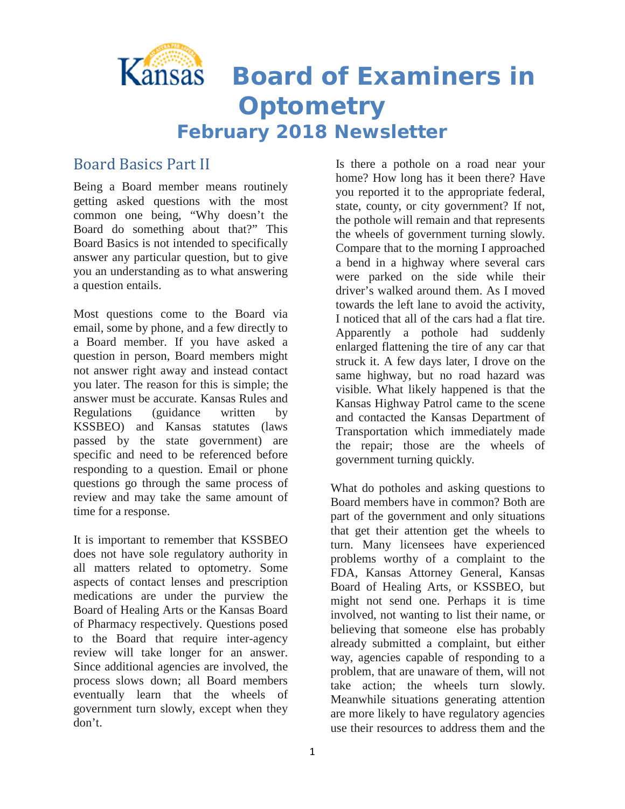

### Board Basics Part II

Being a Board member means routinely getting asked questions with the most common one being, "Why doesn't the Board do something about that?" This Board Basics is not intended to specifically answer any particular question, but to give you an understanding as to what answering a question entails.

Most questions come to the Board via email, some by phone, and a few directly to a Board member. If you have asked a question in person, Board members might not answer right away and instead contact you later. The reason for this is simple; the answer must be accurate. Kansas Rules and Regulations (guidance written by KSSBEO) and Kansas statutes (laws passed by the state government) are specific and need to be referenced before responding to a question. Email or phone questions go through the same process of review and may take the same amount of time for a response.

It is important to remember that KSSBEO does not have sole regulatory authority in all matters related to optometry. Some aspects of contact lenses and prescription medications are under the purview the Board of Healing Arts or the Kansas Board of Pharmacy respectively. Questions posed to the Board that require inter-agency review will take longer for an answer. Since additional agencies are involved, the process slows down; all Board members eventually learn that the wheels of government turn slowly, except when they don't.

Is there a pothole on a road near your home? How long has it been there? Have you reported it to the appropriate federal, state, county, or city government? If not, the pothole will remain and that represents the wheels of government turning slowly. Compare that to the morning I approached a bend in a highway where several cars were parked on the side while their driver's walked around them. As I moved towards the left lane to avoid the activity, I noticed that all of the cars had a flat tire. Apparently a pothole had suddenly enlarged flattening the tire of any car that struck it. A few days later, I drove on the same highway, but no road hazard was visible. What likely happened is that the Kansas Highway Patrol came to the scene and contacted the Kansas Department of Transportation which immediately made the repair; those are the wheels of government turning quickly.

What do potholes and asking questions to Board members have in common? Both are part of the government and only situations that get their attention get the wheels to turn. Many licensees have experienced problems worthy of a complaint to the FDA, Kansas Attorney General, Kansas Board of Healing Arts, or KSSBEO, but might not send one. Perhaps it is time involved, not wanting to list their name, or believing that someone else has probably already submitted a complaint, but either way, agencies capable of responding to a problem, that are unaware of them, will not take action; the wheels turn slowly. Meanwhile situations generating attention are more likely to have regulatory agencies use their resources to address them and the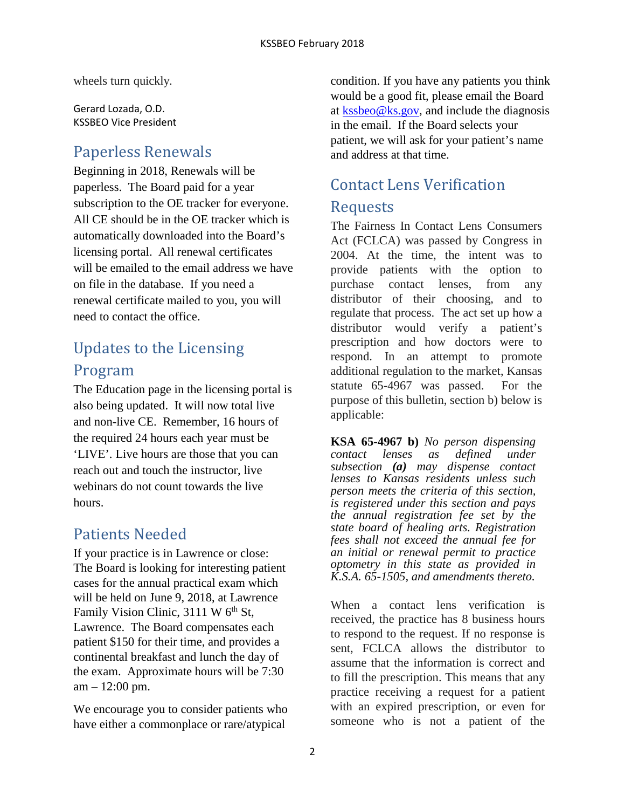wheels turn quickly.

Gerard Lozada, O.D. KSSBEO Vice President

### Paperless Renewals

Beginning in 2018, Renewals will be paperless. The Board paid for a year subscription to the OE tracker for everyone. All CE should be in the OE tracker which is automatically downloaded into the Board's licensing portal. All renewal certificates will be emailed to the email address we have on file in the database. If you need a renewal certificate mailed to you, you will need to contact the office.

# Updates to the Licensing Program

The Education page in the licensing portal is also being updated. It will now total live and non-live CE. Remember, 16 hours of the required 24 hours each year must be 'LIVE'. Live hours are those that you can reach out and touch the instructor, live webinars do not count towards the live hours.

## Patients Needed

If your practice is in Lawrence or close: The Board is looking for interesting patient cases for the annual practical exam which will be held on June 9, 2018, at Lawrence Family Vision Clinic,  $3111 \text{ W } 6^{\text{th}}$  St, Lawrence. The Board compensates each patient \$150 for their time, and provides a continental breakfast and lunch the day of the exam. Approximate hours will be 7:30 am – 12:00 pm.

We encourage you to consider patients who have either a commonplace or rare/atypical

condition. If you have any patients you think would be a good fit, please email the Board at  $kssbeo@ks.gov$ , and include the diagnosis in the email. If the Board selects your patient, we will ask for your patient's name and address at that time.

# Contact Lens Verification Requests

The Fairness In Contact Lens Consumers Act (FCLCA) was passed by Congress in 2004. At the time, the intent was to provide patients with the option to purchase contact lenses, from any distributor of their choosing, and to regulate that process. The act set up how a distributor would verify a patient's prescription and how doctors were to respond. In an attempt to promote additional regulation to the market, Kansas statute 65-4967 was passed. For the purpose of this bulletin, section b) below is applicable:

**KSA 65-4967 b)** *No person dispensing contact lenses as defined under subsection (a) may dispense contact lenses to Kansas residents unless such person meets the criteria of this section, is registered under this section and pays the annual registration fee set by the state board of healing arts. Registration fees shall not exceed the annual fee for an initial or renewal permit to practice optometry in this state as provided in K.S.A. 65-1505, and amendments thereto.*

When a contact lens verification is received, the practice has 8 business hours to respond to the request. If no response is sent, FCLCA allows the distributor to assume that the information is correct and to fill the prescription. This means that any practice receiving a request for a patient with an expired prescription, or even for someone who is not a patient of the